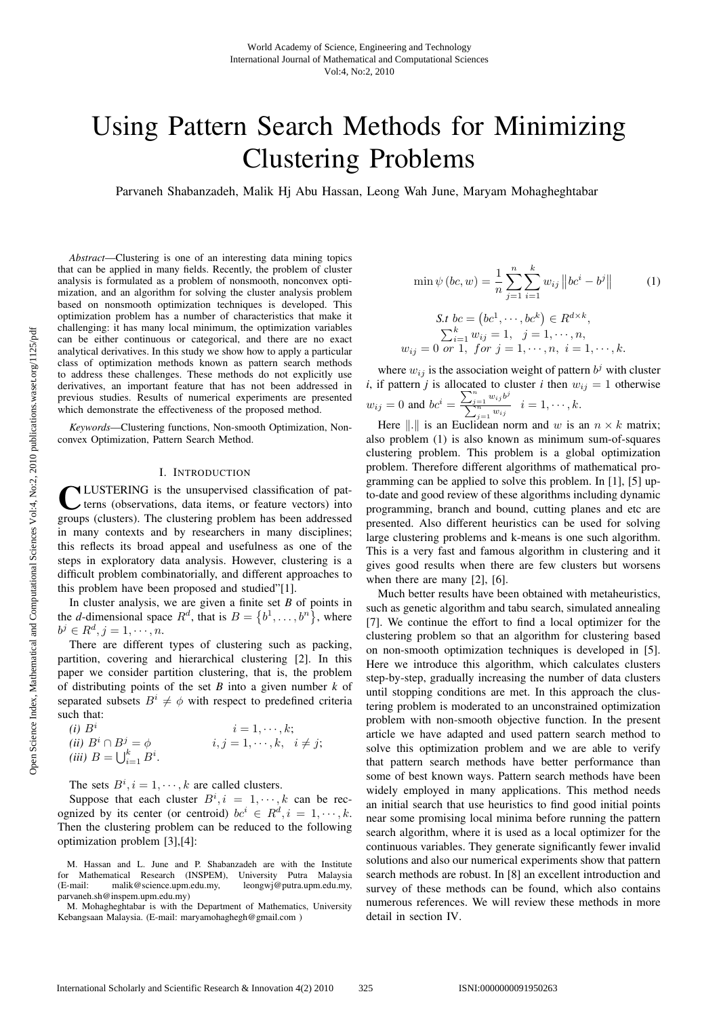# Using Pattern Search Methods for Minimizing Clustering Problems

Parvaneh Shabanzadeh, Malik Hj Abu Hassan, Leong Wah June, Maryam Mohagheghtabar

*Abstract*—Clustering is one of an interesting data mining topics that can be applied in many fields. Recently, the problem of cluster analysis is formulated as a problem of nonsmooth, nonconvex optimization, and an algorithm for solving the cluster analysis problem based on nonsmooth optimization techniques is developed. This optimization problem has a number of characteristics that make it challenging: it has many local minimum, the optimization variables can be either continuous or categorical, and there are no exact analytical derivatives. In this study we show how to apply a particular class of optimization methods known as pattern search methods to address these challenges. These methods do not explicitly use derivatives, an important feature that has not been addressed in previous studies. Results of numerical experiments are presented which demonstrate the effectiveness of the proposed method.

*Keywords*—Clustering functions, Non-smooth Optimization, Nonconvex Optimization, Pattern Search Method.

## I. INTRODUCTION

**NLUSTERING** is the unsupervised classification of patterns (observations, data items, or feature vectors) into groups (clusters). The clustering problem has been addressed in many contexts and by researchers in many disciplines; this reflects its broad appeal and usefulness as one of the steps in exploratory data analysis. However, clustering is a difficult problem combinatorially, and different approaches to this problem have been proposed and studied"[1].

In cluster analysis, we are given a finite set *B* of points in the *d*-dimensional space  $R^d$ , that is  $B = \{b^1, \ldots, b^n\}$ , where  $b^j \in R^d, j = 1, \cdots, n.$ 

There are different types of clustering such as packing, partition, covering and hierarchical clustering [2]. In this paper we consider partition clustering, that is, the problem of distributing points of the set *B* into a given number *k* of separated subsets  $B^i \neq \phi$  with respect to predefined criteria such that:

(i) 
$$
B^i
$$
  
\n(ii)  $B^i \cap B^j = \phi$   
\n(iii)  $B = \bigcup_{i=1}^k B^i$   
\n(iiii)  $\phi$   
\n(iv)  $i, j = 1, \dots, k, i \neq j$ ;

The sets  $B^i$ ,  $i = 1, \dots, k$  are called clusters.

Suppose that each cluster  $B^i$ ,  $i = 1, \dots, k$  can be recognized by its center (or centroid)  $bc^i \in R^d, i = 1, \dots, k$ . Then the clustering problem can be reduced to the following optimization problem [3],[4]:

$$
\min \psi (bc, w) = \frac{1}{n} \sum_{j=1}^{n} \sum_{i=1}^{k} w_{ij} ||bc^{i} - b^{j}||
$$
(1)  
  
*S.t*  $bc = (bc^{1}, \dots, bc^{k}) \in R^{d \times k}$ ,  

$$
\sum_{i=1}^{k} w_{ij} = 1, \quad j = 1, \dots, n,
$$
  
 $w_{ij} = 0 \text{ or } 1, \text{ for } j = 1, \dots, n, \quad i = 1, \dots, k.$ 

where  $w_{ij}$  is the association weight of pattern  $b^j$  with cluster *i*, if pattern *j* is allocated to cluster *i* then  $w_{ij} = 1$  otherwise  $w_{ij} = 0$  and  $bc^i = \frac{\sum_{j=1}^n w_{ij}b^j}{\sum_{j=1}^n w_{ij}}$  $\sum_{j=1}^{j=1}^{\infty} \frac{w_{ij}}{w_{ij}}$   $i=1,\cdots,k.$ 

Here  $\| \cdot \|$  is an Euclidean norm and w is an  $n \times k$  matrix; also problem (1) is also known as minimum sum-of-squares clustering problem. This problem is a global optimization problem. Therefore different algorithms of mathematical programming can be applied to solve this problem. In [1], [5] upto-date and good review of these algorithms including dynamic programming, branch and bound, cutting planes and etc are presented. Also different heuristics can be used for solving large clustering problems and k-means is one such algorithm. This is a very fast and famous algorithm in clustering and it gives good results when there are few clusters but worsens when there are many [2], [6].

Much better results have been obtained with metaheuristics, such as genetic algorithm and tabu search, simulated annealing [7]. We continue the effort to find a local optimizer for the clustering problem so that an algorithm for clustering based on non-smooth optimization techniques is developed in [5]. Here we introduce this algorithm, which calculates clusters step-by-step, gradually increasing the number of data clusters until stopping conditions are met. In this approach the clustering problem is moderated to an unconstrained optimization problem with non-smooth objective function. In the present article we have adapted and used pattern search method to solve this optimization problem and we are able to verify that pattern search methods have better performance than some of best known ways. Pattern search methods have been widely employed in many applications. This method needs an initial search that use heuristics to find good initial points near some promising local minima before running the pattern search algorithm, where it is used as a local optimizer for the continuous variables. They generate significantly fewer invalid solutions and also our numerical experiments show that pattern search methods are robust. In [8] an excellent introduction and survey of these methods can be found, which also contains numerous references. We will review these methods in more detail in section IV.

M. Hassan and L. June and P. Shabanzadeh are with the Institute for Mathematical Research (INSPEM), University Putra Malaysia<br>(E-mail: malik@science.upm.edu.my, leongwj@putra.upm.edu.my,  $(E-mail: *mail@science.upm.edu.my*$ parvaneh.sh@inspem.upm.edu.my)

M. Mohagheghtabar is with the Department of Mathematics, University Kebangsaan Malaysia. (E-mail: maryamohaghegh@gmail.com )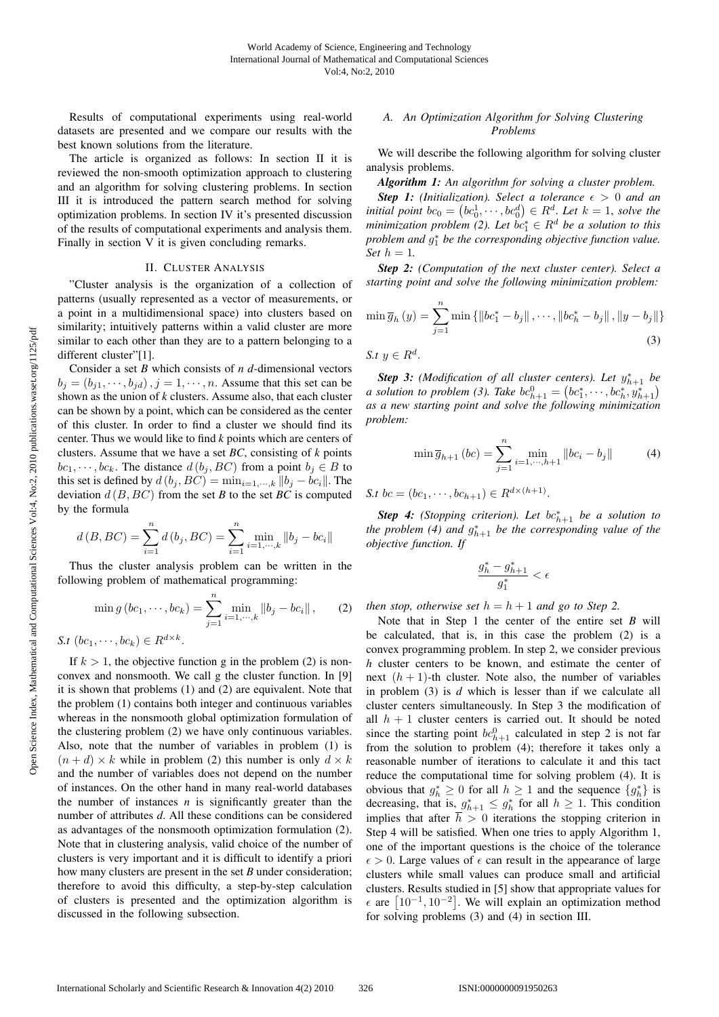Results of computational experiments using real-world datasets are presented and we compare our results with the best known solutions from the literature.

The article is organized as follows: In section II it is reviewed the non-smooth optimization approach to clustering and an algorithm for solving clustering problems. In section III it is introduced the pattern search method for solving optimization problems. In section IV it's presented discussion of the results of computational experiments and analysis them. Finally in section V it is given concluding remarks.

### II. CLUSTER ANALYSIS

"Cluster analysis is the organization of a collection of patterns (usually represented as a vector of measurements, or a point in a multidimensional space) into clusters based on similarity; intuitively patterns within a valid cluster are more similar to each other than they are to a pattern belonging to a different cluster"[1].

Consider a set *B* which consists of *n d*-dimensional vectors  $b_j = (b_{j1}, \dots, b_{jd})$ ,  $j = 1, \dots, n$ . Assume that this set can be shown as the union of *k* clusters. Assume also, that each cluster can be shown by a point, which can be considered as the center of this cluster. In order to find a cluster we should find its center. Thus we would like to find *k* points which are centers of clusters. Assume that we have a set *BC*, consisting of *k* points  $bc_1, \dots, bc_k$ . The distance  $d(b_j, BC)$  from a point  $b_j \in B$  to this set is defined by  $d(b_j, BC) = \min_{i=1,\dots,k} ||b_j - bc_i||$ . The deviation  $d(B, BC)$  from the set *B* to the set *BC* is computed by the formula

$$
d(B, BC) = \sum_{i=1}^{n} d(b_j, BC) = \sum_{i=1}^{n} \min_{i=1,\dots,k} ||b_j - bc_i||
$$

Thus the cluster analysis problem can be written in the following problem of mathematical programming:

$$
\min g\left(bc_1,\dots,bc_k\right) = \sum_{j=1}^n \min_{i=1,\dots,k} \|b_j - bc_i\|, \qquad (2)
$$

*S.t*  $(bc_1, \dots, bc_k) \in R^{d \times k}$ .

If  $k > 1$ , the objective function g in the problem (2) is nonconvex and nonsmooth. We call g the cluster function. In [9] it is shown that problems (1) and (2) are equivalent. Note that the problem (1) contains both integer and continuous variables whereas in the nonsmooth global optimization formulation of the clustering problem (2) we have only continuous variables. Also, note that the number of variables in problem (1) is  $(n+d) \times k$  while in problem (2) this number is only  $d \times k$ and the number of variables does not depend on the number of instances. On the other hand in many real-world databases the number of instances  $n$  is significantly greater than the number of attributes *d*. All these conditions can be considered as advantages of the nonsmooth optimization formulation (2). Note that in clustering analysis, valid choice of the number of clusters is very important and it is difficult to identify a priori how many clusters are present in the set *B* under consideration; therefore to avoid this difficulty, a step-by-step calculation of clusters is presented and the optimization algorithm is discussed in the following subsection.

## *A. An Optimization Algorithm for Solving Clustering Problems*

We will describe the following algorithm for solving cluster analysis problems.

*Algorithm 1: An algorithm for solving a cluster problem.*

**Step 1:** *(Initialization).* Select a tolerance  $\epsilon > 0$  and an *initial point*  $bc_0 = (bc_0^1, \dots, bc_0^d) \in R^d$ . Let  $k = 1$ , solve the *minimization problem* (2). Let  $bc_1^* \in R^d$  be a solution to this *problem and*  $g_1^*$  *be the corresponding objective function value. Set*  $h = 1$ *.* 

*Step 2: (Computation of the next cluster center). Select a starting point and solve the following minimization problem:*

$$
\min \overline{g}_h(y) = \sum_{j=1}^n \min \{ ||bc_1^* - b_j||, \dots, ||bc_h^* - b_j||, ||y - b_j|| \}
$$
  
5. t  $y \in R^d$ . (3)

**Step 3:** *(Modification of all cluster centers). Let*  $y_{h+1}^*$  *be a* solution to problem (3). Take  $bc_{h+1}^0 = (bc_1^*, \dots, bc_h^*, y_{h+1}^*)$ *as a new starting point and solve the following minimization problem:*

$$
\min \overline{g}_{h+1} (bc) = \sum_{j=1}^{n} \min_{i=1,\dots,h+1} ||bc_i - b_j|| \tag{4}
$$

*S.t*  $bc = (bc_1, \dots, bc_{h+1}) \in R^{d \times (h+1)}$ .

**Step 4:** (Stopping criterion). Let  $bc_{h+1}^*$  be a solution to *the problem* (4) and  $g_{h+1}^*$  *be the corresponding value of the objective function. If*

$$
\frac{g_h^*-g_{h+1}^*}{g_1^*}<\epsilon
$$

*then stop, otherwise set*  $h = h + 1$  *and go to Step 2.* 

Note that in Step 1 the center of the entire set *B* will be calculated, that is, in this case the problem (2) is a convex programming problem. In step 2, we consider previous *h* cluster centers to be known, and estimate the center of next  $(h + 1)$ -th cluster. Note also, the number of variables in problem (3) is *d* which is lesser than if we calculate all cluster centers simultaneously. In Step 3 the modification of all  $h + 1$  cluster centers is carried out. It should be noted since the starting point  $bc_{h+1}^0$  calculated in step 2 is not far from the solution to problem (4); therefore it takes only a reasonable number of iterations to calculate it and this tact reduce the computational time for solving problem (4). It is obvious that  $g_h^* \geq 0$  for all  $h \geq 1$  and the sequence  $\{g_h^*\}$  is decreasing, that is,  $g_{h+1}^* \leq g_h^*$  for all  $h \geq 1$ . This condition implies that after  $\overline{h} > 0$  iterations the stopping criterion in Step 4 will be satisfied. When one tries to apply Algorithm 1, one of the important questions is the choice of the tolerance  $\epsilon > 0$ . Large values of  $\epsilon$  can result in the appearance of large clusters while small values can produce small and artificial clusters. Results studied in [5] show that appropriate values for  $\epsilon$  are  $\left[10^{-1}, 10^{-2}\right]$ . We will explain an optimization method for solving problems (3) and (4) in section III.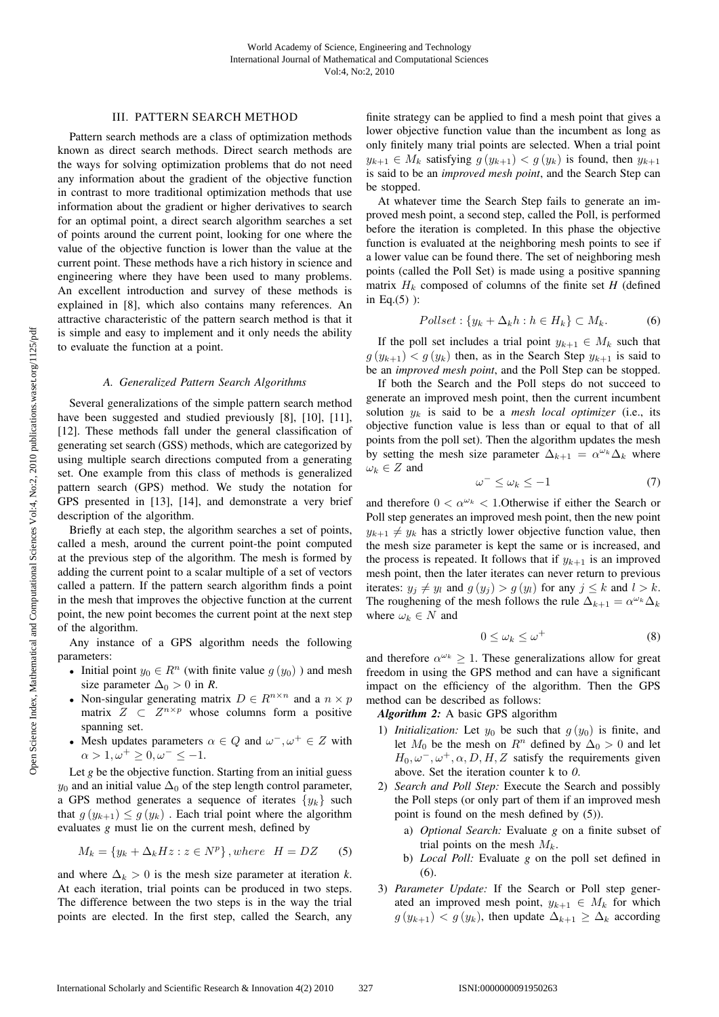## III. PATTERN SEARCH METHOD

Pattern search methods are a class of optimization methods known as direct search methods. Direct search methods are the ways for solving optimization problems that do not need any information about the gradient of the objective function in contrast to more traditional optimization methods that use information about the gradient or higher derivatives to search for an optimal point, a direct search algorithm searches a set of points around the current point, looking for one where the value of the objective function is lower than the value at the current point. These methods have a rich history in science and engineering where they have been used to many problems. An excellent introduction and survey of these methods is explained in [8], which also contains many references. An attractive characteristic of the pattern search method is that it is simple and easy to implement and it only needs the ability to evaluate the function at a point.

#### *A. Generalized Pattern Search Algorithms*

Several generalizations of the simple pattern search method have been suggested and studied previously [8], [10], [11], [12]. These methods fall under the general classification of generating set search (GSS) methods, which are categorized by using multiple search directions computed from a generating set. One example from this class of methods is generalized pattern search (GPS) method. We study the notation for GPS presented in [13], [14], and demonstrate a very brief description of the algorithm.

Briefly at each step, the algorithm searches a set of points, called a mesh, around the current point-the point computed at the previous step of the algorithm. The mesh is formed by adding the current point to a scalar multiple of a set of vectors called a pattern. If the pattern search algorithm finds a point in the mesh that improves the objective function at the current point, the new point becomes the current point at the next step of the algorithm.

Any instance of a GPS algorithm needs the following parameters:

- Initial point  $y_0 \in R^n$  (with finite value  $g(y_0)$ ) and mesh size parameter  $\Delta_0 > 0$  in *R*.
- Non-singular generating matrix  $D \in R^{n \times n}$  and a  $n \times p$ matrix  $Z \subset Z^{n \times p}$  whose columns form a positive spanning set.
- Mesh updates parameters  $\alpha \in Q$  and  $\omega^{-}, \omega^{+} \in Z$  with  $\alpha > 1, \omega^+ \geq 0, \omega^- \leq -1.$

Let *g* be the objective function. Starting from an initial guess  $y_0$  and an initial value  $\Delta_0$  of the step length control parameter, a GPS method generates a sequence of iterates  $\{y_k\}$  such that  $g(y_{k+1}) \leq g(y_k)$ . Each trial point where the algorithm evaluates *g* must lie on the current mesh, defined by

$$
M_k = \{ y_k + \Delta_k Hz : z \in N^p \}, where \quad H = DZ \tag{5}
$$

and where  $\Delta_k > 0$  is the mesh size parameter at iteration *k*. At each iteration, trial points can be produced in two steps. The difference between the two steps is in the way the trial points are elected. In the first step, called the Search, any

finite strategy can be applied to find a mesh point that gives a lower objective function value than the incumbent as long as only finitely many trial points are selected. When a trial point  $y_{k+1} \in M_k$  satisfying  $g(y_{k+1}) < g(y_k)$  is found, then  $y_{k+1}$ is said to be an *improved mesh point*, and the Search Step can be stopped.

At whatever time the Search Step fails to generate an improved mesh point, a second step, called the Poll, is performed before the iteration is completed. In this phase the objective function is evaluated at the neighboring mesh points to see if a lower value can be found there. The set of neighboring mesh points (called the Poll Set) is made using a positive spanning matrix  $H_k$  composed of columns of the finite set  $H$  (defined in Eq.(5) ):

$$
Pollset: \{y_k + \Delta_k h : h \in H_k\} \subset M_k. \tag{6}
$$

If the poll set includes a trial point  $y_{k+1} \in M_k$  such that  $g(y_{k+1}) < g(y_k)$  then, as in the Search Step  $y_{k+1}$  is said to be an *improved mesh point*, and the Poll Step can be stopped.

If both the Search and the Poll steps do not succeed to generate an improved mesh point, then the current incumbent solution  $y_k$  is said to be a *mesh local optimizer* (i.e., its objective function value is less than or equal to that of all points from the poll set). Then the algorithm updates the mesh by setting the mesh size parameter  $\Delta_{k+1} = \alpha^{\omega_k} \Delta_k$  where  $\omega_k \in Z$  and

$$
\omega^- \le \omega_k \le -1 \tag{7}
$$

and therefore  $0 < \alpha^{\omega_k} < 1.$  Otherwise if either the Search or Poll step generates an improved mesh point, then the new point  $y_{k+1} \neq y_k$  has a strictly lower objective function value, then the mesh size parameter is kept the same or is increased, and the process is repeated. It follows that if  $y_{k+1}$  is an improved mesh point, then the later iterates can never return to previous iterates:  $y_j \neq y_l$  and  $g(y_j) > g(y_l)$  for any  $j \leq k$  and  $l > k$ . The roughening of the mesh follows the rule  $\Delta_{k+1} = \alpha^{\omega_k} \Delta_k$ where  $\omega_k \in N$  and

$$
0 \le \omega_k \le \omega^+ \tag{8}
$$

and therefore  $\alpha^{\omega_k} > 1$ . These generalizations allow for great freedom in using the GPS method and can have a significant impact on the efficiency of the algorithm. Then the GPS method can be described as follows:

*Algorithm 2:* A basic GPS algorithm

- 1) *Initialization:* Let  $y_0$  be such that  $g(y_0)$  is finite, and let  $M_0$  be the mesh on  $R^n$  defined by  $\Delta_0 > 0$  and let  $H_0, \omega^-, \omega^+, \alpha, D, H, Z$  satisfy the requirements given above. Set the iteration counter k to *0*.
- 2) *Search and Poll Step:* Execute the Search and possibly the Poll steps (or only part of them if an improved mesh point is found on the mesh defined by (5)).
	- a) *Optional Search:* Evaluate *g* on a finite subset of trial points on the mesh  $M_k$ .
	- b) *Local Poll:* Evaluate *g* on the poll set defined in (6).
- 3) *Parameter Update:* If the Search or Poll step generated an improved mesh point,  $y_{k+1} \in M_k$  for which  $g(y_{k+1}) < g(y_k)$ , then update  $\Delta_{k+1} \geq \Delta_k$  according

Open Science Index, Mathematical and Computational Sciences Vol:4, No:2, 2010 publications.waset.org/1125/pdfOpen Science Index, Mathematical and Computational Sciences Vol:4, No:2, 2010 publications.waset.org/1125/pdf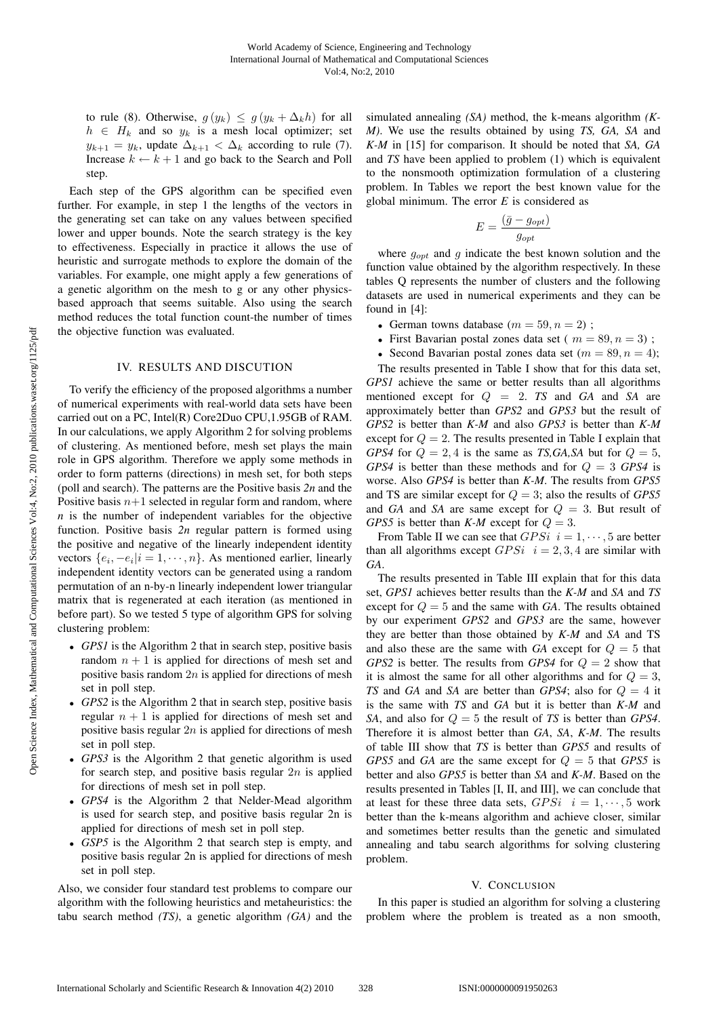to rule (8). Otherwise,  $g(y_k) \leq g(y_k + \Delta_k h)$  for all  $h \in H_k$  and so  $y_k$  is a mesh local optimizer; set  $y_{k+1} = y_k$ , update  $\Delta_{k+1} < \Delta_k$  according to rule (7). Increase  $k \leftarrow k + 1$  and go back to the Search and Poll step.

Each step of the GPS algorithm can be specified even further. For example, in step 1 the lengths of the vectors in the generating set can take on any values between specified lower and upper bounds. Note the search strategy is the key to effectiveness. Especially in practice it allows the use of heuristic and surrogate methods to explore the domain of the variables. For example, one might apply a few generations of a genetic algorithm on the mesh to g or any other physicsbased approach that seems suitable. Also using the search method reduces the total function count-the number of times the objective function was evaluated.

## IV. RESULTS AND DISCUTION

To verify the efficiency of the proposed algorithms a number of numerical experiments with real-world data sets have been carried out on a PC, Intel(R) Core2Duo CPU,1.95GB of RAM. In our calculations, we apply Algorithm 2 for solving problems of clustering. As mentioned before, mesh set plays the main role in GPS algorithm. Therefore we apply some methods in order to form patterns (directions) in mesh set, for both steps (poll and search). The patterns are the Positive basis *2n* and the Positive basis  $n+1$  selected in regular form and random, where *n* is the number of independent variables for the objective function. Positive basis *2n* regular pattern is formed using the positive and negative of the linearly independent identity vectors  $\{e_i, -e_i|i=1,\dots,n\}$ . As mentioned earlier, linearly independent identity vectors can be generated using a random permutation of an n-by-n linearly independent lower triangular matrix that is regenerated at each iteration (as mentioned in before part). So we tested 5 type of algorithm GPS for solving clustering problem:

- *GPS1* is the Algorithm 2 that in search step, positive basis random  $n + 1$  is applied for directions of mesh set and positive basis random  $2n$  is applied for directions of mesh set in poll step.
- *GPS2* is the Algorithm 2 that in search step, positive basis regular  $n + 1$  is applied for directions of mesh set and positive basis regular  $2n$  is applied for directions of mesh set in poll step.
- *GPS3* is the Algorithm 2 that genetic algorithm is used for search step, and positive basis regular  $2n$  is applied for directions of mesh set in poll step.
- *GPS4* is the Algorithm 2 that Nelder-Mead algorithm is used for search step, and positive basis regular 2n is applied for directions of mesh set in poll step.
- *GSP5* is the Algorithm 2 that search step is empty, and positive basis regular 2n is applied for directions of mesh set in poll step.

Also, we consider four standard test problems to compare our algorithm with the following heuristics and metaheuristics: the tabu search method *(TS)*, a genetic algorithm *(GA)* and the

simulated annealing *(SA)* method, the k-means algorithm *(K-M)*. We use the results obtained by using *TS, GA, SA* and *K-M* in [15] for comparison. It should be noted that *SA, GA* and *TS* have been applied to problem (1) which is equivalent to the nonsmooth optimization formulation of a clustering problem. In Tables we report the best known value for the global minimum. The error *E* is considered as

$$
E = \frac{(\bar{g} - g_{opt})}{g_{opt}}
$$

where  $g_{opt}$  and g indicate the best known solution and the function value obtained by the algorithm respectively. In these tables Q represents the number of clusters and the following datasets are used in numerical experiments and they can be found in [4]:

- German towns database  $(m = 59, n = 2)$ ;
- First Bavarian postal zones data set ( $m = 89, n = 3$ );
- Second Bavarian postal zones data set  $(m = 89, n = 4)$ ;

The results presented in Table I show that for this data set, *GPS1* achieve the same or better results than all algorithms mentioned except for Q = 2. *TS* and *GA* and *SA* are approximately better than *GPS2* and *GPS3* but the result of *GPS2* is better than *K-M* and also *GPS3* is better than *K-M* except for  $Q = 2$ . The results presented in Table I explain that *GPS4* for  $Q = 2, 4$  is the same as *TS,GA,SA* but for  $Q = 5$ , *GPS4* is better than these methods and for Q = 3 *GPS4* is worse. Also *GPS4* is better than *K-M*. The results from *GPS5* and TS are similar except for Q = 3; also the results of *GPS5* and *GA* and *SA* are same except for  $Q = 3$ . But result of *GPS5* is better than *K-M* except for  $Q = 3$ .

From Table II we can see that  $GPSi$   $i = 1, \dots, 5$  are better than all algorithms except  $GPSi$   $i = 2, 3, 4$  are similar with *GA*.

The results presented in Table III explain that for this data set, *GPS1* achieves better results than the *K-M* and *SA* and *TS* except for  $Q = 5$  and the same with *GA*. The results obtained by our experiment *GPS2* and *GPS3* are the same, however they are better than those obtained by *K-M* and *SA* and TS and also these are the same with  $GA$  except for  $Q = 5$  that *GPS2* is better. The results from *GPS4* for Q = 2 show that it is almost the same for all other algorithms and for  $Q = 3$ , *TS* and *GA* and *SA* are better than *GPS4*; also for Q = 4 it is the same with *TS* and *GA* but it is better than *K-M* and *SA*, and also for Q = 5 the result of *TS* is better than *GPS4*. Therefore it is almost better than *GA*, *SA*, *K-M*. The results of table III show that *TS* is better than *GPS5* and results of *GPS5* and *GA* are the same except for  $Q = 5$  that *GPS5* is better and also *GPS5* is better than *SA* and *K-M*. Based on the results presented in Tables [I, II, and III], we can conclude that at least for these three data sets,  $GPSi \t i = 1, \dots, 5$  work better than the k-means algorithm and achieve closer, similar and sometimes better results than the genetic and simulated annealing and tabu search algorithms for solving clustering problem.

### V. CONCLUSION

In this paper is studied an algorithm for solving a clustering problem where the problem is treated as a non smooth,